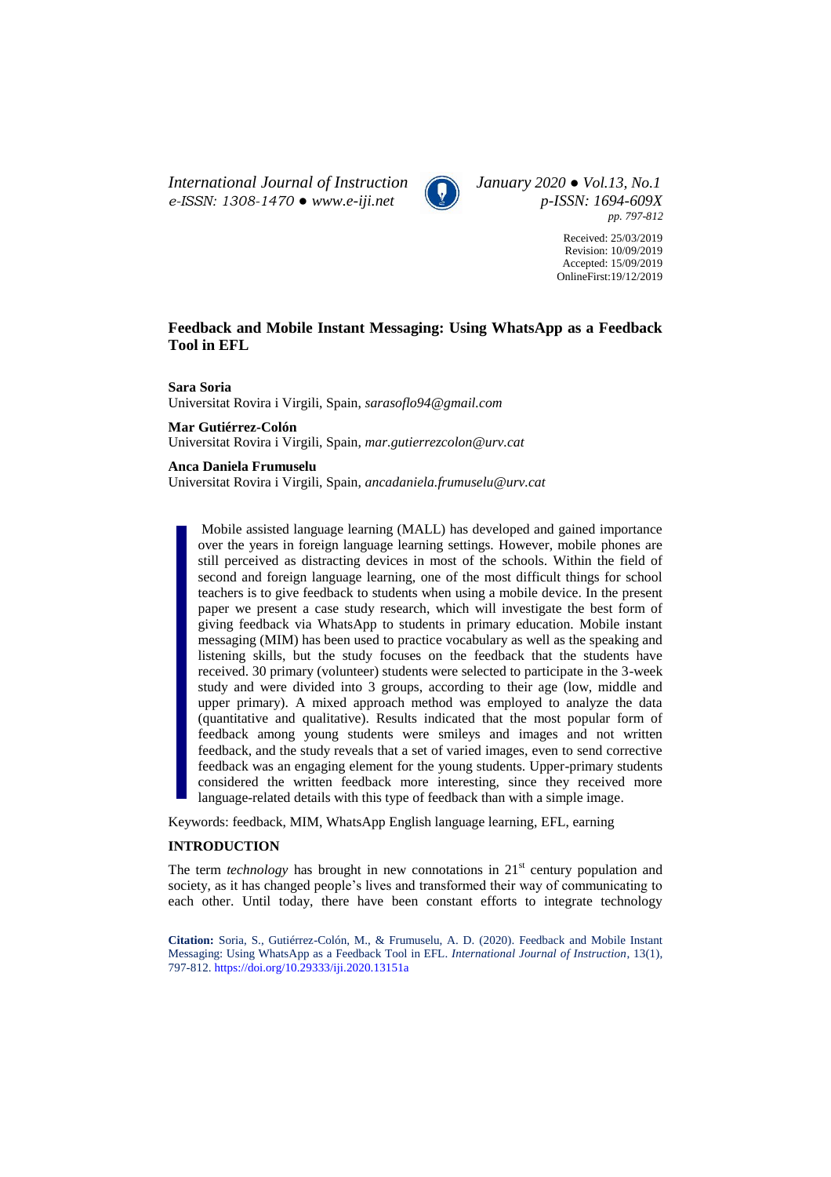*International Journal of Instruction January 2020 ● Vol.13, No.1 e-ISSN: 1308-1470 ● [www.e-iji.net](http://www.e-iji.net/) p-ISSN: 1694-609X*



*pp. 797-812*

Received: 25/03/2019 Revision: 10/09/2019 Accepted: 15/09/2019 OnlineFirst:19/12/2019

# **Feedback and Mobile Instant Messaging: Using WhatsApp as a Feedback Tool in EFL**

**Sara Soria** Universitat Rovira i Virgili, Spain, *sarasoflo94@gmail.com* 

**Mar Gutiérrez-Colón** Universitat Rovira i Virgili, Spain, *mar.gutierrezcolon@urv.cat*

## **Anca Daniela Frumuselu**

Universitat Rovira i Virgili, Spain, *ancadaniela.frumuselu@urv.cat*

Mobile assisted language learning (MALL) has developed and gained importance over the years in foreign language learning settings. However, mobile phones are still perceived as distracting devices in most of the schools. Within the field of second and foreign language learning, one of the most difficult things for school teachers is to give feedback to students when using a mobile device. In the present paper we present a case study research, which will investigate the best form of giving feedback via WhatsApp to students in primary education. Mobile instant messaging (MIM) has been used to practice vocabulary as well as the speaking and listening skills, but the study focuses on the feedback that the students have received. 30 primary (volunteer) students were selected to participate in the 3-week study and were divided into 3 groups, according to their age (low, middle and upper primary). A mixed approach method was employed to analyze the data (quantitative and qualitative). Results indicated that the most popular form of feedback among young students were smileys and images and not written feedback, and the study reveals that a set of varied images, even to send corrective feedback was an engaging element for the young students. Upper-primary students considered the written feedback more interesting, since they received more language-related details with this type of feedback than with a simple image.

Keywords: feedback, MIM, WhatsApp English language learning, EFL, earning

#### **INTRODUCTION**

The term *technology* has brought in new connotations in  $21<sup>st</sup>$  century population and society, as it has changed people's lives and transformed their way of communicating to each other. Until today, there have been constant efforts to integrate technology

**Citation:** Soria, S., Gutiérrez-Colón, M., & Frumuselu, A. D. (2020). Feedback and Mobile Instant Messaging: Using WhatsApp as a Feedback Tool in EFL. *International Journal of Instruction*, 13(1), 797-812. <https://doi.org/10.29333/iji.2020.13151a>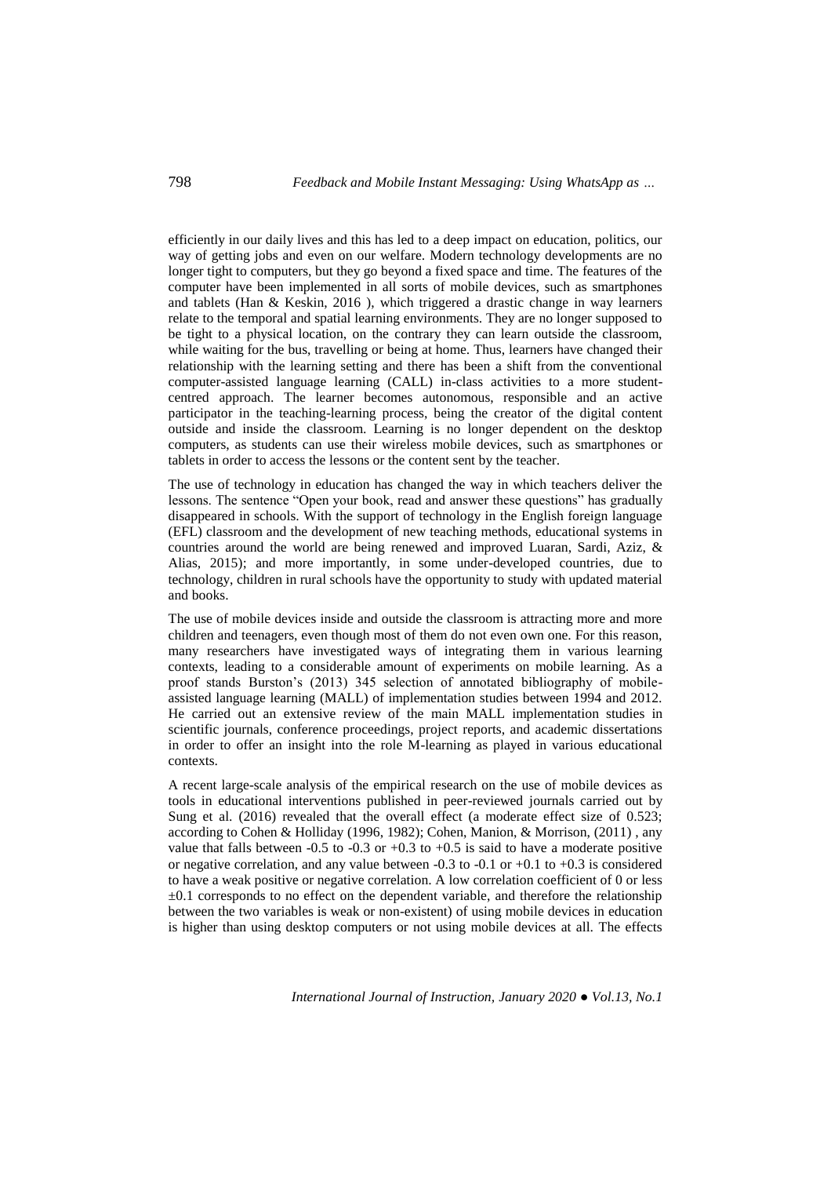efficiently in our daily lives and this has led to a deep impact on education, politics, our way of getting jobs and even on our welfare. Modern technology developments are no longer tight to computers, but they go beyond a fixed space and time. The features of the computer have been implemented in all sorts of mobile devices, such as smartphones and tablets (Han  $\&$  Keskin, 2016), which triggered a drastic change in way learners relate to the temporal and spatial learning environments. They are no longer supposed to be tight to a physical location, on the contrary they can learn outside the classroom, while waiting for the bus, travelling or being at home. Thus, learners have changed their relationship with the learning setting and there has been a shift from the conventional computer-assisted language learning (CALL) in-class activities to a more studentcentred approach. The learner becomes autonomous, responsible and an active participator in the teaching-learning process, being the creator of the digital content outside and inside the classroom. Learning is no longer dependent on the desktop computers, as students can use their wireless mobile devices, such as smartphones or tablets in order to access the lessons or the content sent by the teacher.

The use of technology in education has changed the way in which teachers deliver the lessons. The sentence "Open your book, read and answer these questions" has gradually disappeared in schools. With the support of technology in the English foreign language (EFL) classroom and the development of new teaching methods, educational systems in countries around the world are being renewed and improved Luaran, Sardi, Aziz, & Alias, 2015); and more importantly, in some under-developed countries, due to technology, children in rural schools have the opportunity to study with updated material and books.

The use of mobile devices inside and outside the classroom is attracting more and more children and teenagers, even though most of them do not even own one. For this reason, many researchers have investigated ways of integrating them in various learning contexts, leading to a considerable amount of experiments on mobile learning. As a proof stands Burston's (2013) 345 selection of annotated bibliography of mobileassisted language learning (MALL) of implementation studies between 1994 and 2012. He carried out an extensive review of the main MALL implementation studies in scientific journals, conference proceedings, project reports, and academic dissertations in order to offer an insight into the role M-learning as played in various educational contexts.

A recent large-scale analysis of the empirical research on the use of mobile devices as tools in educational interventions published in peer-reviewed journals carried out by Sung et al. (2016) revealed that the overall effect (a moderate effect size of 0.523; according to Cohen & Holliday (1996, 1982); Cohen, Manion, & Morrison, (2011) , any value that falls between  $-0.5$  to  $-0.3$  or  $+0.3$  to  $+0.5$  is said to have a moderate positive or negative correlation, and any value between -0.3 to -0.1 or +0.1 to +0.3 is considered to have a weak positive or negative correlation. A low correlation coefficient of 0 or less  $\pm 0.1$  corresponds to no effect on the dependent variable, and therefore the relationship between the two variables is weak or non-existent) of using mobile devices in education is higher than using desktop computers or not using mobile devices at all. The effects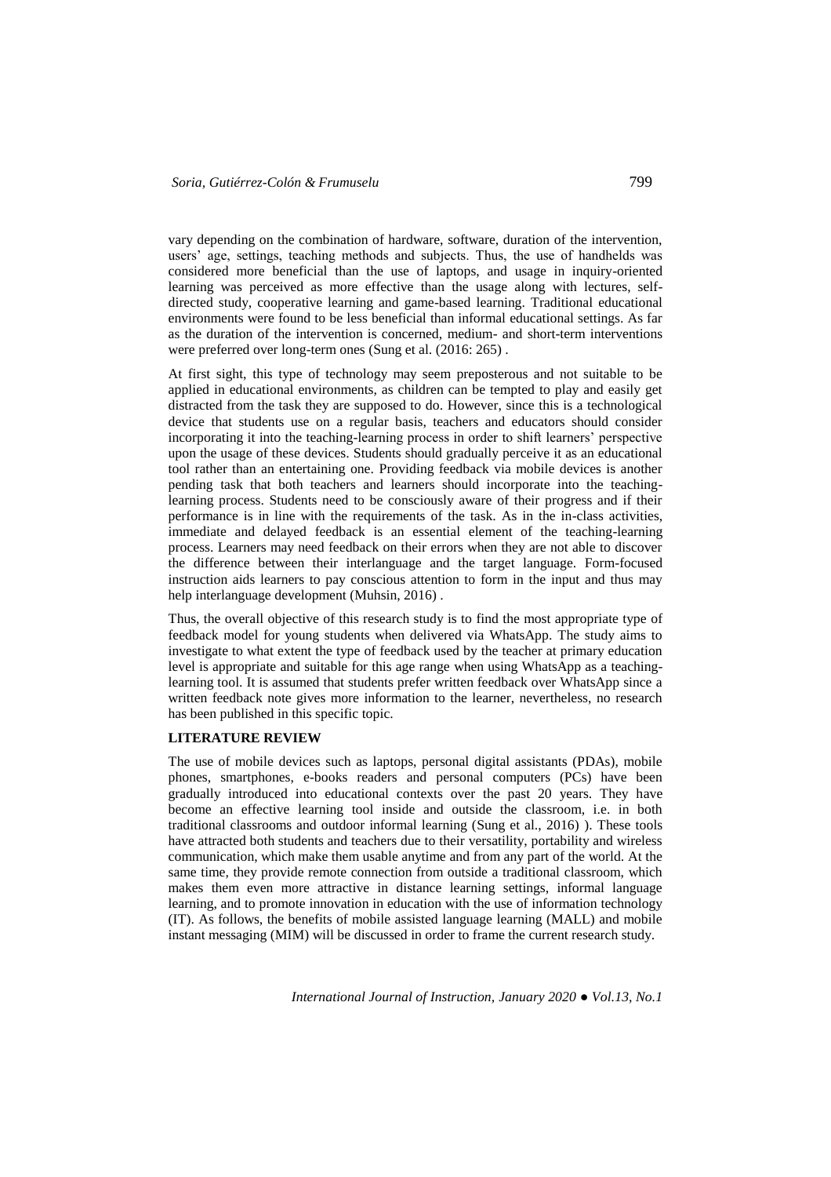vary depending on the combination of hardware, software, duration of the intervention, users' age, settings, teaching methods and subjects. Thus, the use of handhelds was considered more beneficial than the use of laptops, and usage in inquiry-oriented learning was perceived as more effective than the usage along with lectures, selfdirected study, cooperative learning and game-based learning. Traditional educational environments were found to be less beneficial than informal educational settings. As far as the duration of the intervention is concerned, medium- and short-term interventions were preferred over long-term ones (Sung et al. (2016: 265) .

At first sight, this type of technology may seem preposterous and not suitable to be applied in educational environments, as children can be tempted to play and easily get distracted from the task they are supposed to do. However, since this is a technological device that students use on a regular basis, teachers and educators should consider incorporating it into the teaching-learning process in order to shift learners' perspective upon the usage of these devices. Students should gradually perceive it as an educational tool rather than an entertaining one. Providing feedback via mobile devices is another pending task that both teachers and learners should incorporate into the teachinglearning process. Students need to be consciously aware of their progress and if their performance is in line with the requirements of the task. As in the in-class activities, immediate and delayed feedback is an essential element of the teaching-learning process. Learners may need feedback on their errors when they are not able to discover the difference between their interlanguage and the target language. Form-focused instruction aids learners to pay conscious attention to form in the input and thus may help interlanguage development (Muhsin, 2016) .

Thus, the overall objective of this research study is to find the most appropriate type of feedback model for young students when delivered via WhatsApp. The study aims to investigate to what extent the type of feedback used by the teacher at primary education level is appropriate and suitable for this age range when using WhatsApp as a teachinglearning tool. It is assumed that students prefer written feedback over WhatsApp since a written feedback note gives more information to the learner, nevertheless, no research has been published in this specific topic.

## **LITERATURE REVIEW**

The use of mobile devices such as laptops, personal digital assistants (PDAs), mobile phones, smartphones, e-books readers and personal computers (PCs) have been gradually introduced into educational contexts over the past 20 years. They have become an effective learning tool inside and outside the classroom, i.e. in both traditional classrooms and outdoor informal learning (Sung et al., 2016) ). These tools have attracted both students and teachers due to their versatility, portability and wireless communication, which make them usable anytime and from any part of the world. At the same time, they provide remote connection from outside a traditional classroom, which makes them even more attractive in distance learning settings, informal language learning, and to promote innovation in education with the use of information technology (IT). As follows, the benefits of mobile assisted language learning (MALL) and mobile instant messaging (MIM) will be discussed in order to frame the current research study.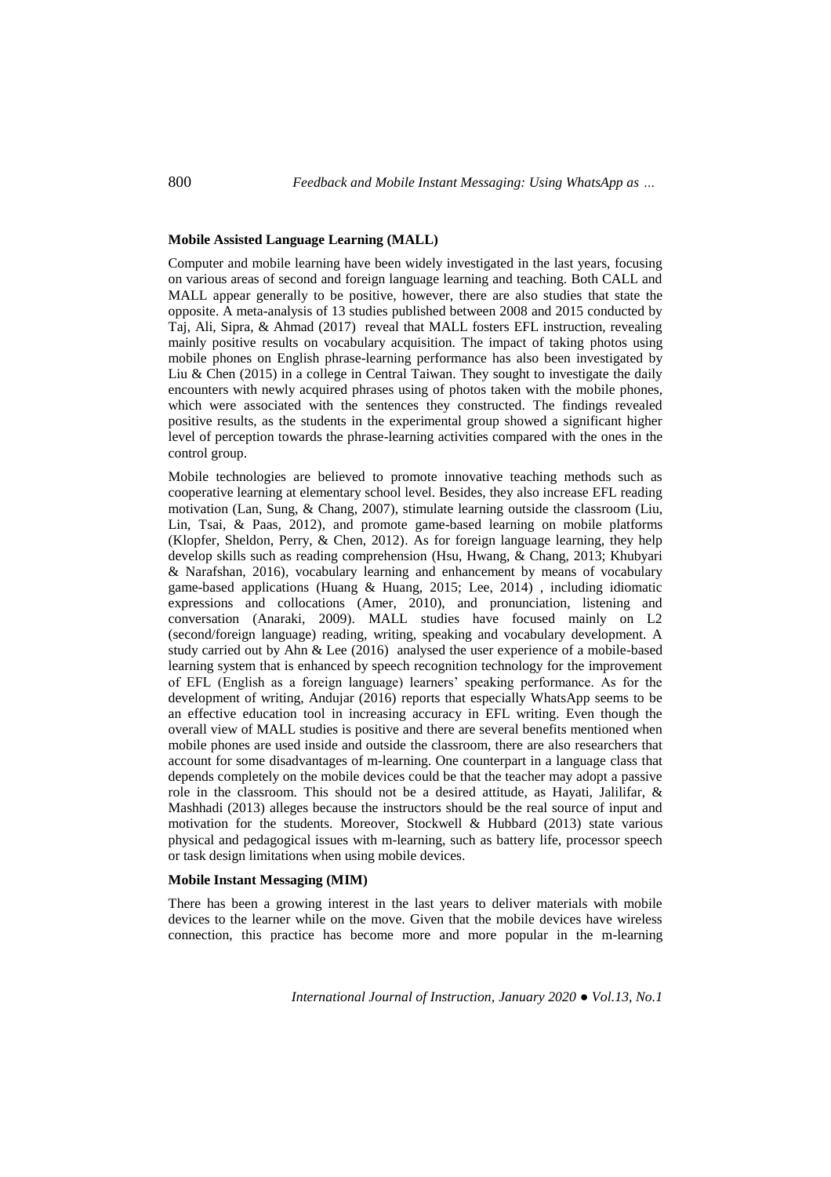### **Mobile Assisted Language Learning (MALL)**

Computer and mobile learning have been widely investigated in the last years, focusing on various areas of second and foreign language learning and teaching. Both CALL and MALL appear generally to be positive, however, there are also studies that state the opposite. A meta-analysis of 13 studies published between 2008 and 2015 conducted by Taj, Ali, Sipra, & Ahmad (2017) reveal that MALL fosters EFL instruction, revealing mainly positive results on vocabulary acquisition. The impact of taking photos using mobile phones on English phrase-learning performance has also been investigated by Liu & Chen (2015) in a college in Central Taiwan. They sought to investigate the daily encounters with newly acquired phrases using of photos taken with the mobile phones, which were associated with the sentences they constructed. The findings revealed positive results, as the students in the experimental group showed a significant higher level of perception towards the phrase-learning activities compared with the ones in the control group.

Mobile technologies are believed to promote innovative teaching methods such as cooperative learning at elementary school level. Besides, they also increase EFL reading motivation (Lan, Sung, & Chang, 2007), stimulate learning outside the classroom (Liu, Lin, Tsai, & Paas, 2012), and promote game-based learning on mobile platforms (Klopfer, Sheldon, Perry, & Chen, 2012). As for foreign language learning, they help develop skills such as reading comprehension (Hsu, Hwang, & Chang, 2013; Khubyari & Narafshan, 2016), vocabulary learning and enhancement by means of vocabulary game-based applications (Huang & Huang, 2015; Lee, 2014) , including idiomatic expressions and collocations (Amer, 2010), and pronunciation, listening and conversation (Anaraki, 2009). MALL studies have focused mainly on L2 (second/foreign language) reading, writing, speaking and vocabulary development. A study carried out by Ahn & Lee (2016) analysed the user experience of a mobile-based learning system that is enhanced by speech recognition technology for the improvement of EFL (English as a foreign language) learners' speaking performance. As for the development of writing, Andujar (2016) reports that especially WhatsApp seems to be an effective education tool in increasing accuracy in EFL writing. Even though the overall view of MALL studies is positive and there are several benefits mentioned when mobile phones are used inside and outside the classroom, there are also researchers that account for some disadvantages of m-learning. One counterpart in a language class that depends completely on the mobile devices could be that the teacher may adopt a passive role in the classroom. This should not be a desired attitude, as Hayati, Jalilifar, & Mashhadi (2013) alleges because the instructors should be the real source of input and motivation for the students. Moreover, Stockwell & Hubbard (2013) state various physical and pedagogical issues with m-learning, such as battery life, processor speech or task design limitations when using mobile devices.

## **Mobile Instant Messaging (MIM)**

There has been a growing interest in the last years to deliver materials with mobile devices to the learner while on the move. Given that the mobile devices have wireless connection, this practice has become more and more popular in the m-learning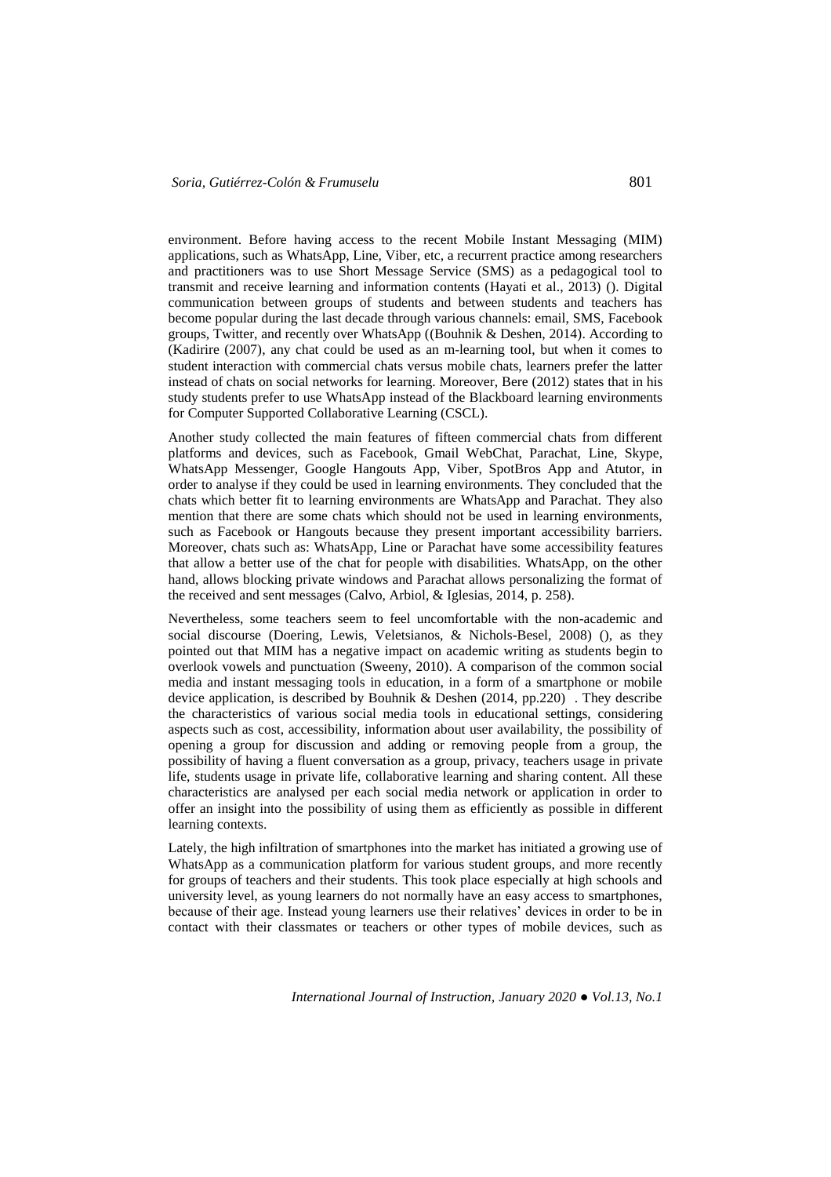environment. Before having access to the recent Mobile Instant Messaging (MIM) applications, such as WhatsApp, Line, Viber, etc, a recurrent practice among researchers and practitioners was to use Short Message Service (SMS) as a pedagogical tool to transmit and receive learning and information contents (Hayati et al., 2013) (). Digital communication between groups of students and between students and teachers has become popular during the last decade through various channels: email, SMS, Facebook groups, Twitter, and recently over WhatsApp ((Bouhnik & Deshen, 2014). According to (Kadirire (2007), any chat could be used as an m-learning tool, but when it comes to student interaction with commercial chats versus mobile chats, learners prefer the latter instead of chats on social networks for learning. Moreover, Bere (2012) states that in his study students prefer to use WhatsApp instead of the Blackboard learning environments for Computer Supported Collaborative Learning (CSCL).

Another study collected the main features of fifteen commercial chats from different platforms and devices, such as Facebook, Gmail WebChat, Parachat, Line, Skype, WhatsApp Messenger, Google Hangouts App, Viber, SpotBros App and Atutor, in order to analyse if they could be used in learning environments. They concluded that the chats which better fit to learning environments are WhatsApp and Parachat. They also mention that there are some chats which should not be used in learning environments, such as Facebook or Hangouts because they present important accessibility barriers. Moreover, chats such as: WhatsApp, Line or Parachat have some accessibility features that allow a better use of the chat for people with disabilities. WhatsApp, on the other hand, allows blocking private windows and Parachat allows personalizing the format of the received and sent messages (Calvo, Arbiol, & Iglesias, 2014, p. 258).

Nevertheless, some teachers seem to feel uncomfortable with the non-academic and social discourse (Doering, Lewis, Veletsianos, & Nichols-Besel, 2008) (), as they pointed out that MIM has a negative impact on academic writing as students begin to overlook vowels and punctuation (Sweeny, 2010). A comparison of the common social media and instant messaging tools in education, in a form of a smartphone or mobile device application, is described by Bouhnik & Deshen (2014, pp.220) . They describe the characteristics of various social media tools in educational settings, considering aspects such as cost, accessibility, information about user availability, the possibility of opening a group for discussion and adding or removing people from a group, the possibility of having a fluent conversation as a group, privacy, teachers usage in private life, students usage in private life, collaborative learning and sharing content. All these characteristics are analysed per each social media network or application in order to offer an insight into the possibility of using them as efficiently as possible in different learning contexts.

Lately, the high infiltration of smartphones into the market has initiated a growing use of WhatsApp as a communication platform for various student groups, and more recently for groups of teachers and their students. This took place especially at high schools and university level, as young learners do not normally have an easy access to smartphones, because of their age. Instead young learners use their relatives' devices in order to be in contact with their classmates or teachers or other types of mobile devices, such as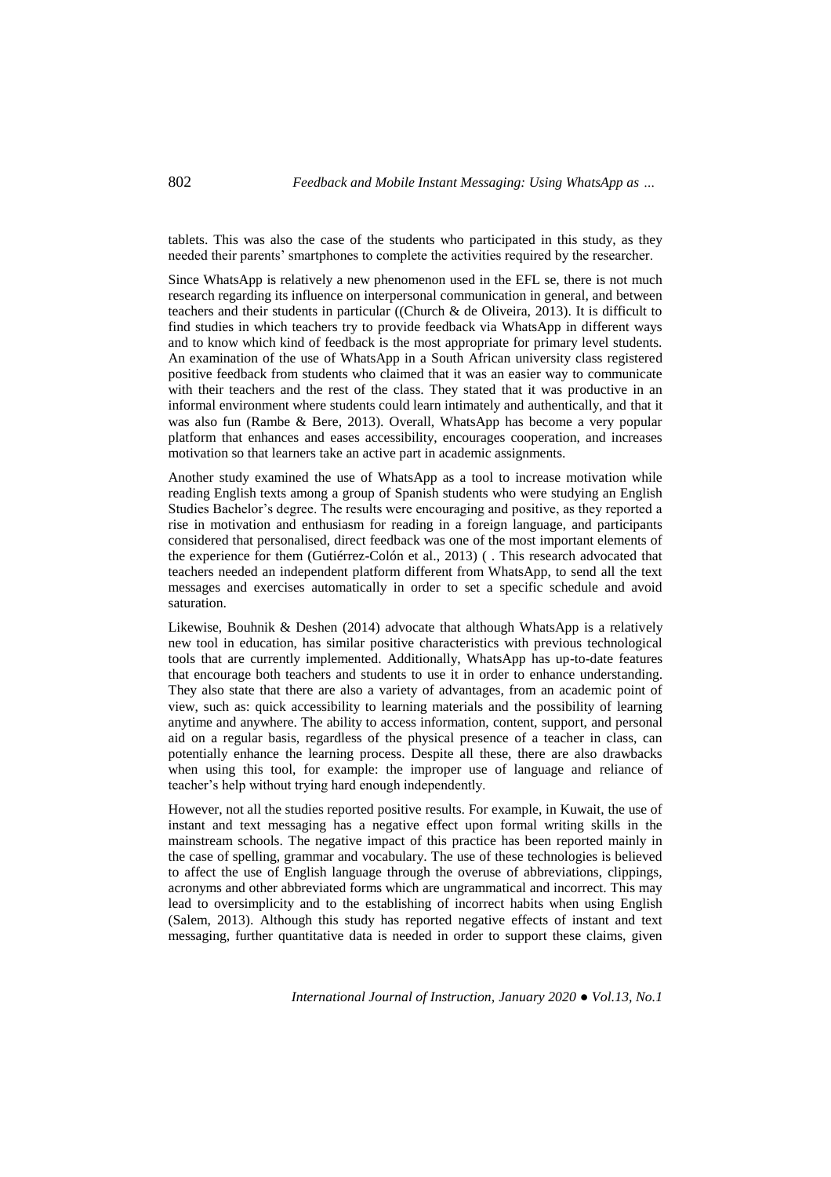tablets. This was also the case of the students who participated in this study, as they needed their parents' smartphones to complete the activities required by the researcher.

Since WhatsApp is relatively a new phenomenon used in the EFL se, there is not much research regarding its influence on interpersonal communication in general, and between teachers and their students in particular ((Church & de Oliveira, 2013). It is difficult to find studies in which teachers try to provide feedback via WhatsApp in different ways and to know which kind of feedback is the most appropriate for primary level students. An examination of the use of WhatsApp in a South African university class registered positive feedback from students who claimed that it was an easier way to communicate with their teachers and the rest of the class. They stated that it was productive in an informal environment where students could learn intimately and authentically, and that it was also fun (Rambe & Bere, 2013). Overall, WhatsApp has become a very popular platform that enhances and eases accessibility, encourages cooperation, and increases motivation so that learners take an active part in academic assignments.

Another study examined the use of WhatsApp as a tool to increase motivation while reading English texts among a group of Spanish students who were studying an English Studies Bachelor's degree. The results were encouraging and positive, as they reported a rise in motivation and enthusiasm for reading in a foreign language, and participants considered that personalised, direct feedback was one of the most important elements of the experience for them (Gutiérrez-Colón et al., 2013) ( . This research advocated that teachers needed an independent platform different from WhatsApp, to send all the text messages and exercises automatically in order to set a specific schedule and avoid saturation.

Likewise, Bouhnik & Deshen (2014) advocate that although WhatsApp is a relatively new tool in education, has similar positive characteristics with previous technological tools that are currently implemented. Additionally, WhatsApp has up-to-date features that encourage both teachers and students to use it in order to enhance understanding. They also state that there are also a variety of advantages, from an academic point of view, such as: quick accessibility to learning materials and the possibility of learning anytime and anywhere. The ability to access information, content, support, and personal aid on a regular basis, regardless of the physical presence of a teacher in class, can potentially enhance the learning process. Despite all these, there are also drawbacks when using this tool, for example: the improper use of language and reliance of teacher's help without trying hard enough independently.

However, not all the studies reported positive results. For example, in Kuwait, the use of instant and text messaging has a negative effect upon formal writing skills in the mainstream schools. The negative impact of this practice has been reported mainly in the case of spelling, grammar and vocabulary. The use of these technologies is believed to affect the use of English language through the overuse of abbreviations, clippings, acronyms and other abbreviated forms which are ungrammatical and incorrect. This may lead to oversimplicity and to the establishing of incorrect habits when using English (Salem, 2013). Although this study has reported negative effects of instant and text messaging, further quantitative data is needed in order to support these claims, given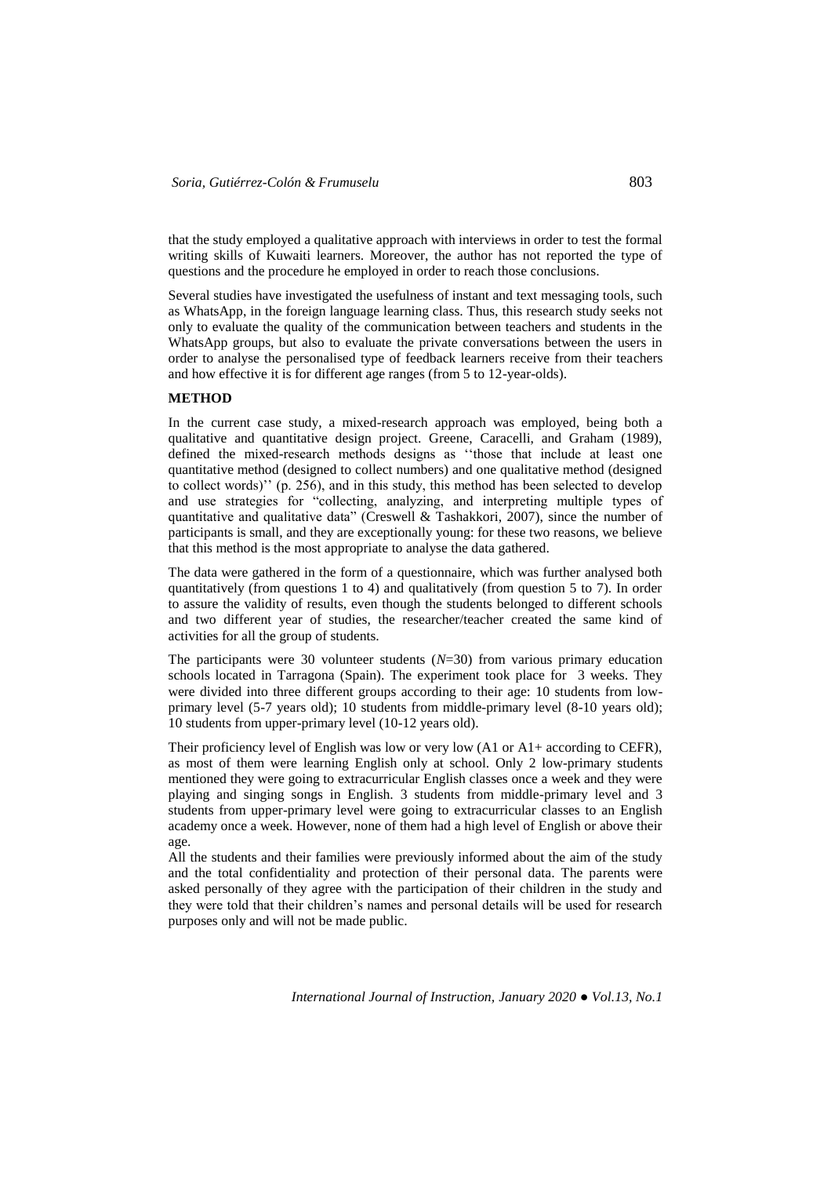that the study employed a qualitative approach with interviews in order to test the formal writing skills of Kuwaiti learners. Moreover, the author has not reported the type of questions and the procedure he employed in order to reach those conclusions.

Several studies have investigated the usefulness of instant and text messaging tools, such as WhatsApp, in the foreign language learning class. Thus, this research study seeks not only to evaluate the quality of the communication between teachers and students in the WhatsApp groups, but also to evaluate the private conversations between the users in order to analyse the personalised type of feedback learners receive from their teachers and how effective it is for different age ranges (from 5 to 12-year-olds).

### **METHOD**

In the current case study, a mixed-research approach was employed, being both a qualitative and quantitative design project. Greene, Caracelli, and Graham (1989), defined the mixed-research methods designs as ''those that include at least one quantitative method (designed to collect numbers) and one qualitative method (designed to collect words)'' (p. 256), and in this study, this method has been selected to develop and use strategies for "collecting, analyzing, and interpreting multiple types of quantitative and qualitative data" (Creswell & Tashakkori, 2007), since the number of participants is small, and they are exceptionally young: for these two reasons, we believe that this method is the most appropriate to analyse the data gathered.

The data were gathered in the form of a questionnaire, which was further analysed both quantitatively (from questions 1 to 4) and qualitatively (from question 5 to 7). In order to assure the validity of results, even though the students belonged to different schools and two different year of studies, the researcher/teacher created the same kind of activities for all the group of students.

The participants were 30 volunteer students (*N*=30) from various primary education schools located in Tarragona (Spain). The experiment took place for 3 weeks. They were divided into three different groups according to their age: 10 students from lowprimary level (5-7 years old); 10 students from middle-primary level (8-10 years old); 10 students from upper-primary level (10-12 years old).

Their proficiency level of English was low or very low (A1 or A1+ according to CEFR), as most of them were learning English only at school. Only 2 low-primary students mentioned they were going to extracurricular English classes once a week and they were playing and singing songs in English. 3 students from middle-primary level and 3 students from upper-primary level were going to extracurricular classes to an English academy once a week. However, none of them had a high level of English or above their age.

All the students and their families were previously informed about the aim of the study and the total confidentiality and protection of their personal data. The parents were asked personally of they agree with the participation of their children in the study and they were told that their children's names and personal details will be used for research purposes only and will not be made public.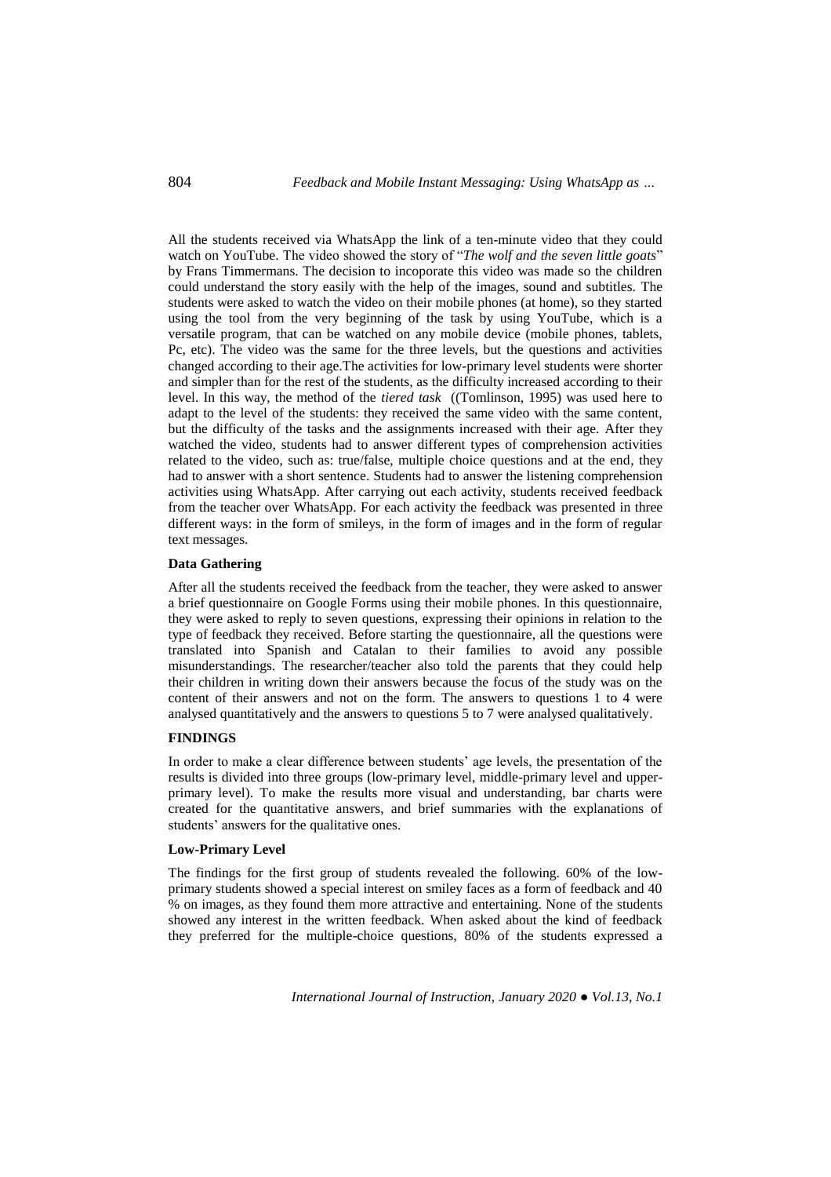All the students received via WhatsApp the link of a ten-minute video that they could watch on YouTube. The video showed the story of "*The wolf and the seven little goats*" by Frans Timmermans. The decision to incoporate this video was made so the children could understand the story easily with the help of the images, sound and subtitles. The students were asked to watch the video on their mobile phones (at home), so they started using the tool from the very beginning of the task by using YouTube, which is a versatile program, that can be watched on any mobile device (mobile phones, tablets, Pc, etc). The video was the same for the three levels, but the questions and activities changed according to their age.The activities for low-primary level students were shorter and simpler than for the rest of the students, as the difficulty increased according to their level. In this way, the method of the *tiered task* ((Tomlinson, 1995) was used here to adapt to the level of the students: they received the same video with the same content, but the difficulty of the tasks and the assignments increased with their age. After they watched the video, students had to answer different types of comprehension activities related to the video, such as: true/false, multiple choice questions and at the end, they had to answer with a short sentence. Students had to answer the listening comprehension activities using WhatsApp. After carrying out each activity, students received feedback from the teacher over WhatsApp. For each activity the feedback was presented in three different ways: in the form of smileys, in the form of images and in the form of regular text messages.

#### **Data Gathering**

After all the students received the feedback from the teacher, they were asked to answer a brief questionnaire on Google Forms using their mobile phones. In this questionnaire, they were asked to reply to seven questions, expressing their opinions in relation to the type of feedback they received. Before starting the questionnaire, all the questions were translated into Spanish and Catalan to their families to avoid any possible misunderstandings. The researcher/teacher also told the parents that they could help their children in writing down their answers because the focus of the study was on the content of their answers and not on the form. The answers to questions 1 to 4 were analysed quantitatively and the answers to questions 5 to 7 were analysed qualitatively.

### **FINDINGS**

In order to make a clear difference between students' age levels, the presentation of the results is divided into three groups (low-primary level, middle-primary level and upperprimary level). To make the results more visual and understanding, bar charts were created for the quantitative answers, and brief summaries with the explanations of students' answers for the qualitative ones.

### **Low-Primary Level**

The findings for the first group of students revealed the following. 60% of the lowprimary students showed a special interest on smiley faces as a form of feedback and 40 % on images, as they found them more attractive and entertaining. None of the students showed any interest in the written feedback. When asked about the kind of feedback they preferred for the multiple-choice questions, 80% of the students expressed a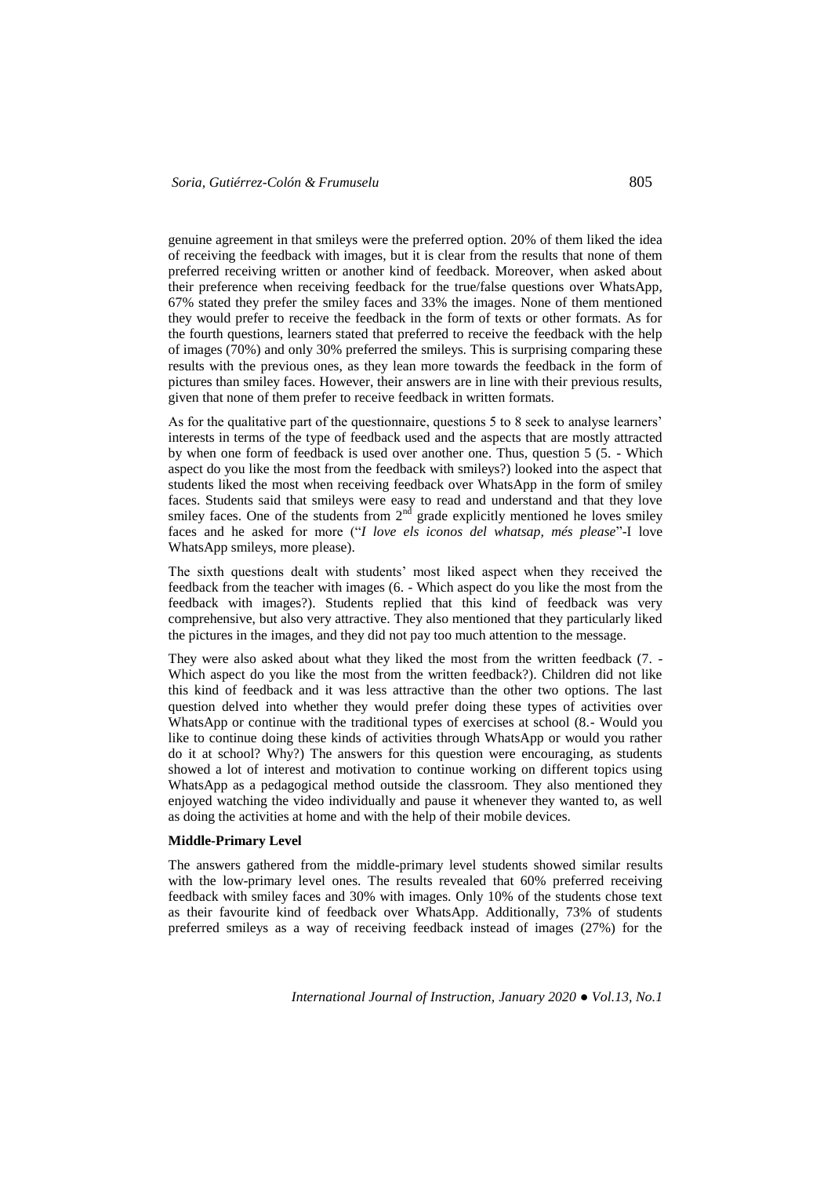genuine agreement in that smileys were the preferred option. 20% of them liked the idea of receiving the feedback with images, but it is clear from the results that none of them preferred receiving written or another kind of feedback. Moreover, when asked about their preference when receiving feedback for the true/false questions over WhatsApp, 67% stated they prefer the smiley faces and 33% the images. None of them mentioned they would prefer to receive the feedback in the form of texts or other formats. As for the fourth questions, learners stated that preferred to receive the feedback with the help of images (70%) and only 30% preferred the smileys. This is surprising comparing these results with the previous ones, as they lean more towards the feedback in the form of pictures than smiley faces. However, their answers are in line with their previous results, given that none of them prefer to receive feedback in written formats.

As for the qualitative part of the questionnaire, questions 5 to 8 seek to analyse learners' interests in terms of the type of feedback used and the aspects that are mostly attracted by when one form of feedback is used over another one. Thus, question 5 (5. - Which aspect do you like the most from the feedback with smileys?) looked into the aspect that students liked the most when receiving feedback over WhatsApp in the form of smiley faces. Students said that smileys were easy to read and understand and that they love smiley faces. One of the students from  $2<sup>nd</sup>$  grade explicitly mentioned he loves smiley faces and he asked for more ("*I love els iconos del whatsap, més please*"-I love WhatsApp smileys, more please).

The sixth questions dealt with students' most liked aspect when they received the feedback from the teacher with images (6. - Which aspect do you like the most from the feedback with images?). Students replied that this kind of feedback was very comprehensive, but also very attractive. They also mentioned that they particularly liked the pictures in the images, and they did not pay too much attention to the message.

They were also asked about what they liked the most from the written feedback (7. - Which aspect do you like the most from the written feedback?). Children did not like this kind of feedback and it was less attractive than the other two options. The last question delved into whether they would prefer doing these types of activities over WhatsApp or continue with the traditional types of exercises at school (8.- Would you like to continue doing these kinds of activities through WhatsApp or would you rather do it at school? Why?) The answers for this question were encouraging, as students showed a lot of interest and motivation to continue working on different topics using WhatsApp as a pedagogical method outside the classroom. They also mentioned they enjoyed watching the video individually and pause it whenever they wanted to, as well as doing the activities at home and with the help of their mobile devices.

### **Middle-Primary Level**

The answers gathered from the middle-primary level students showed similar results with the low-primary level ones. The results revealed that 60% preferred receiving feedback with smiley faces and 30% with images. Only 10% of the students chose text as their favourite kind of feedback over WhatsApp. Additionally, 73% of students preferred smileys as a way of receiving feedback instead of images (27%) for the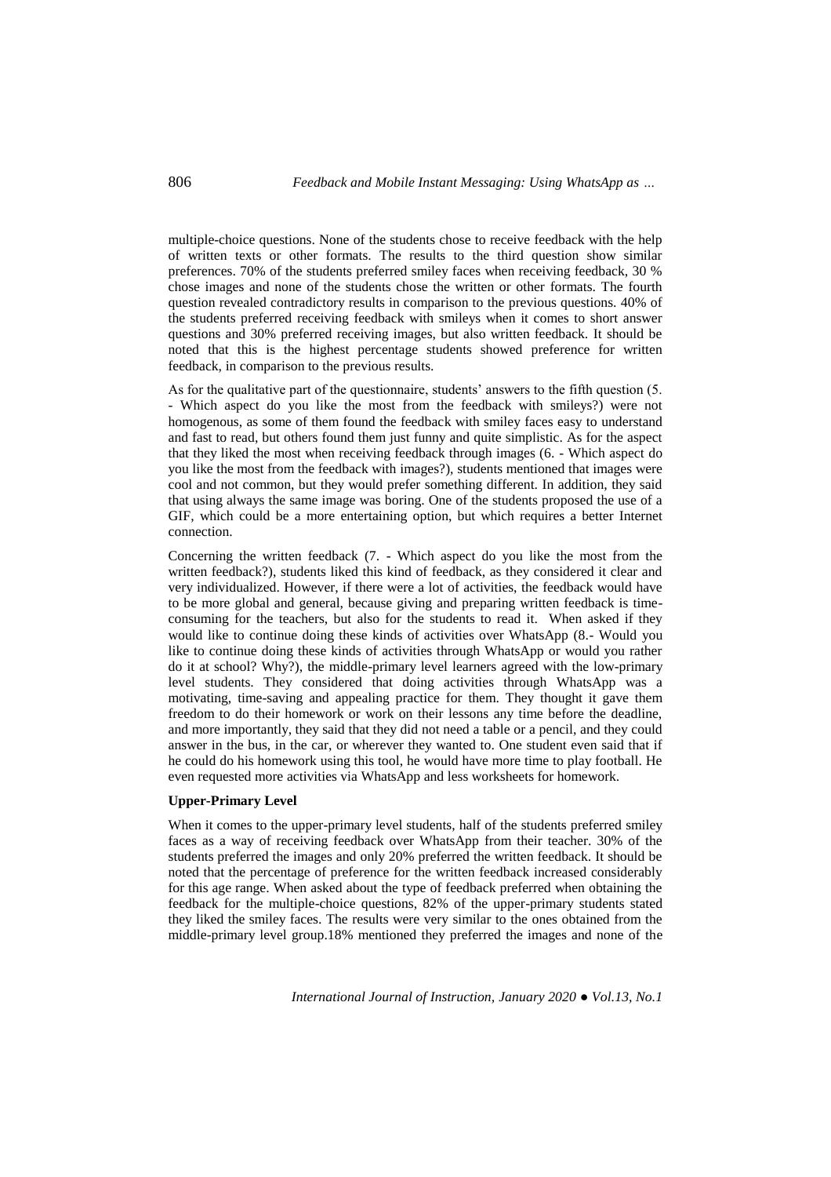multiple-choice questions. None of the students chose to receive feedback with the help of written texts or other formats. The results to the third question show similar preferences. 70% of the students preferred smiley faces when receiving feedback, 30 % chose images and none of the students chose the written or other formats. The fourth question revealed contradictory results in comparison to the previous questions. 40% of the students preferred receiving feedback with smileys when it comes to short answer questions and 30% preferred receiving images, but also written feedback. It should be noted that this is the highest percentage students showed preference for written feedback, in comparison to the previous results.

As for the qualitative part of the questionnaire, students' answers to the fifth question (5. - Which aspect do you like the most from the feedback with smileys?) were not homogenous, as some of them found the feedback with smiley faces easy to understand and fast to read, but others found them just funny and quite simplistic. As for the aspect that they liked the most when receiving feedback through images (6. - Which aspect do you like the most from the feedback with images?), students mentioned that images were cool and not common, but they would prefer something different. In addition, they said that using always the same image was boring. One of the students proposed the use of a GIF, which could be a more entertaining option, but which requires a better Internet connection.

Concerning the written feedback (7. - Which aspect do you like the most from the written feedback?), students liked this kind of feedback, as they considered it clear and very individualized. However, if there were a lot of activities, the feedback would have to be more global and general, because giving and preparing written feedback is timeconsuming for the teachers, but also for the students to read it. When asked if they would like to continue doing these kinds of activities over WhatsApp (8.- Would you like to continue doing these kinds of activities through WhatsApp or would you rather do it at school? Why?), the middle-primary level learners agreed with the low-primary level students. They considered that doing activities through WhatsApp was a motivating, time-saving and appealing practice for them. They thought it gave them freedom to do their homework or work on their lessons any time before the deadline, and more importantly, they said that they did not need a table or a pencil, and they could answer in the bus, in the car, or wherever they wanted to. One student even said that if he could do his homework using this tool, he would have more time to play football. He even requested more activities via WhatsApp and less worksheets for homework.

# **Upper-Primary Level**

When it comes to the upper-primary level students, half of the students preferred smiley faces as a way of receiving feedback over WhatsApp from their teacher. 30% of the students preferred the images and only 20% preferred the written feedback. It should be noted that the percentage of preference for the written feedback increased considerably for this age range. When asked about the type of feedback preferred when obtaining the feedback for the multiple-choice questions, 82% of the upper-primary students stated they liked the smiley faces. The results were very similar to the ones obtained from the middle-primary level group.18% mentioned they preferred the images and none of the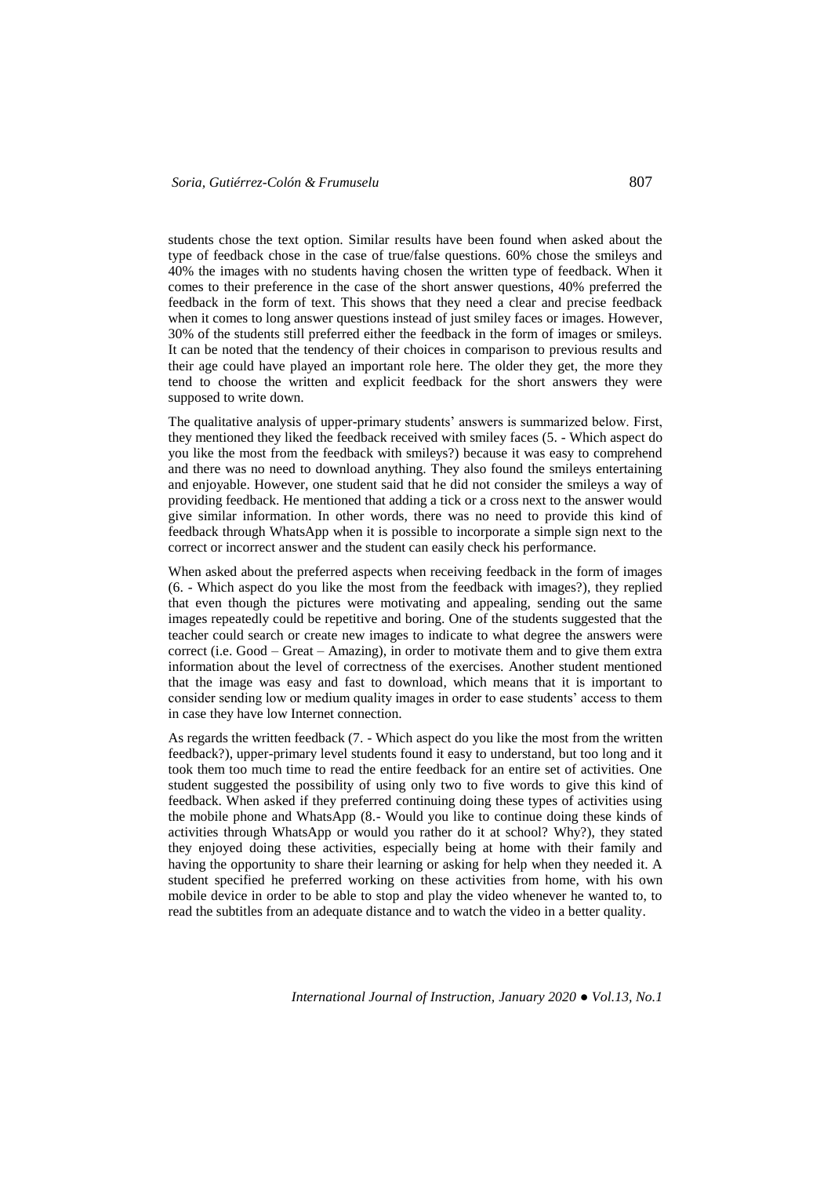students chose the text option. Similar results have been found when asked about the type of feedback chose in the case of true/false questions. 60% chose the smileys and 40% the images with no students having chosen the written type of feedback. When it comes to their preference in the case of the short answer questions, 40% preferred the feedback in the form of text. This shows that they need a clear and precise feedback when it comes to long answer questions instead of just smiley faces or images. However, 30% of the students still preferred either the feedback in the form of images or smileys. It can be noted that the tendency of their choices in comparison to previous results and their age could have played an important role here. The older they get, the more they tend to choose the written and explicit feedback for the short answers they were supposed to write down.

The qualitative analysis of upper-primary students' answers is summarized below. First, they mentioned they liked the feedback received with smiley faces (5. - Which aspect do you like the most from the feedback with smileys?) because it was easy to comprehend and there was no need to download anything. They also found the smileys entertaining and enjoyable. However, one student said that he did not consider the smileys a way of providing feedback. He mentioned that adding a tick or a cross next to the answer would give similar information. In other words, there was no need to provide this kind of feedback through WhatsApp when it is possible to incorporate a simple sign next to the correct or incorrect answer and the student can easily check his performance.

When asked about the preferred aspects when receiving feedback in the form of images (6. - Which aspect do you like the most from the feedback with images?), they replied that even though the pictures were motivating and appealing, sending out the same images repeatedly could be repetitive and boring. One of the students suggested that the teacher could search or create new images to indicate to what degree the answers were correct (i.e. Good – Great – Amazing), in order to motivate them and to give them extra information about the level of correctness of the exercises. Another student mentioned that the image was easy and fast to download, which means that it is important to consider sending low or medium quality images in order to ease students' access to them in case they have low Internet connection.

As regards the written feedback (7. - Which aspect do you like the most from the written feedback?), upper-primary level students found it easy to understand, but too long and it took them too much time to read the entire feedback for an entire set of activities. One student suggested the possibility of using only two to five words to give this kind of feedback. When asked if they preferred continuing doing these types of activities using the mobile phone and WhatsApp (8.- Would you like to continue doing these kinds of activities through WhatsApp or would you rather do it at school? Why?), they stated they enjoyed doing these activities, especially being at home with their family and having the opportunity to share their learning or asking for help when they needed it. A student specified he preferred working on these activities from home, with his own mobile device in order to be able to stop and play the video whenever he wanted to, to read the subtitles from an adequate distance and to watch the video in a better quality.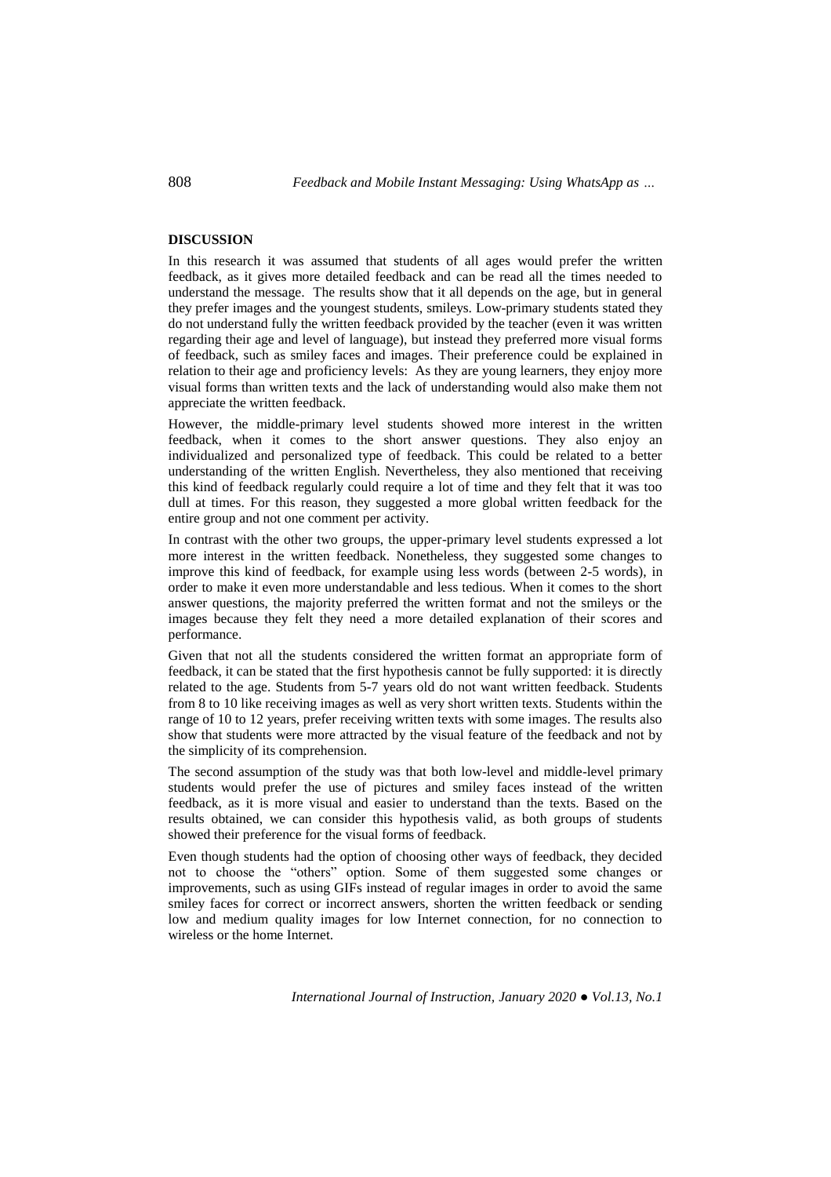### **DISCUSSION**

In this research it was assumed that students of all ages would prefer the written feedback, as it gives more detailed feedback and can be read all the times needed to understand the message. The results show that it all depends on the age, but in general they prefer images and the youngest students, smileys. Low-primary students stated they do not understand fully the written feedback provided by the teacher (even it was written regarding their age and level of language), but instead they preferred more visual forms of feedback, such as smiley faces and images. Their preference could be explained in relation to their age and proficiency levels: As they are young learners, they enjoy more visual forms than written texts and the lack of understanding would also make them not appreciate the written feedback.

However, the middle-primary level students showed more interest in the written feedback, when it comes to the short answer questions. They also enjoy an individualized and personalized type of feedback. This could be related to a better understanding of the written English. Nevertheless, they also mentioned that receiving this kind of feedback regularly could require a lot of time and they felt that it was too dull at times. For this reason, they suggested a more global written feedback for the entire group and not one comment per activity.

In contrast with the other two groups, the upper-primary level students expressed a lot more interest in the written feedback. Nonetheless, they suggested some changes to improve this kind of feedback, for example using less words (between 2-5 words), in order to make it even more understandable and less tedious. When it comes to the short answer questions, the majority preferred the written format and not the smileys or the images because they felt they need a more detailed explanation of their scores and performance.

Given that not all the students considered the written format an appropriate form of feedback, it can be stated that the first hypothesis cannot be fully supported: it is directly related to the age. Students from 5-7 years old do not want written feedback. Students from 8 to 10 like receiving images as well as very short written texts. Students within the range of 10 to 12 years, prefer receiving written texts with some images. The results also show that students were more attracted by the visual feature of the feedback and not by the simplicity of its comprehension.

The second assumption of the study was that both low-level and middle-level primary students would prefer the use of pictures and smiley faces instead of the written feedback, as it is more visual and easier to understand than the texts. Based on the results obtained, we can consider this hypothesis valid, as both groups of students showed their preference for the visual forms of feedback.

Even though students had the option of choosing other ways of feedback, they decided not to choose the "others" option. Some of them suggested some changes or improvements, such as using GIFs instead of regular images in order to avoid the same smiley faces for correct or incorrect answers, shorten the written feedback or sending low and medium quality images for low Internet connection, for no connection to wireless or the home Internet.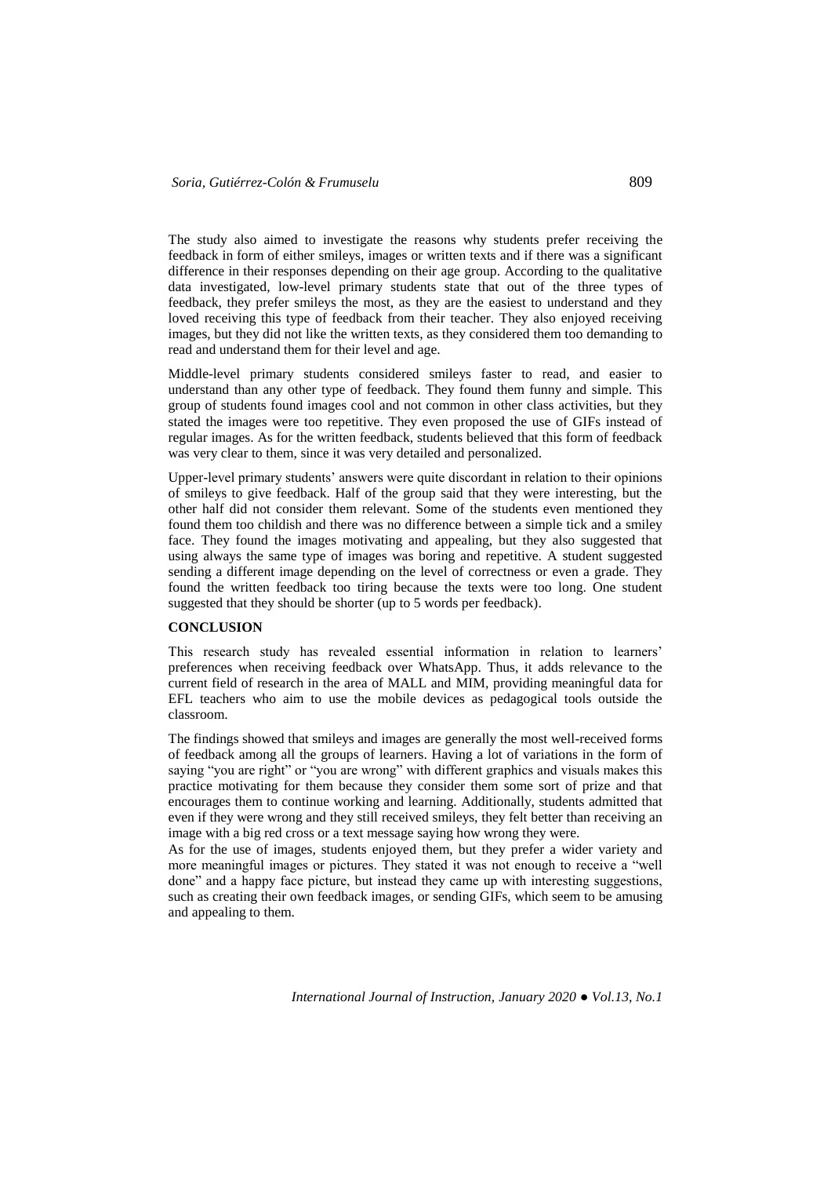The study also aimed to investigate the reasons why students prefer receiving the feedback in form of either smileys, images or written texts and if there was a significant difference in their responses depending on their age group. According to the qualitative data investigated, low-level primary students state that out of the three types of feedback, they prefer smileys the most, as they are the easiest to understand and they loved receiving this type of feedback from their teacher. They also enjoyed receiving images, but they did not like the written texts, as they considered them too demanding to read and understand them for their level and age.

Middle-level primary students considered smileys faster to read, and easier to understand than any other type of feedback. They found them funny and simple. This group of students found images cool and not common in other class activities, but they stated the images were too repetitive. They even proposed the use of GIFs instead of regular images. As for the written feedback, students believed that this form of feedback was very clear to them, since it was very detailed and personalized.

Upper-level primary students' answers were quite discordant in relation to their opinions of smileys to give feedback. Half of the group said that they were interesting, but the other half did not consider them relevant. Some of the students even mentioned they found them too childish and there was no difference between a simple tick and a smiley face. They found the images motivating and appealing, but they also suggested that using always the same type of images was boring and repetitive. A student suggested sending a different image depending on the level of correctness or even a grade. They found the written feedback too tiring because the texts were too long. One student suggested that they should be shorter (up to 5 words per feedback).

#### **CONCLUSION**

This research study has revealed essential information in relation to learners' preferences when receiving feedback over WhatsApp. Thus, it adds relevance to the current field of research in the area of MALL and MIM, providing meaningful data for EFL teachers who aim to use the mobile devices as pedagogical tools outside the classroom.

The findings showed that smileys and images are generally the most well-received forms of feedback among all the groups of learners. Having a lot of variations in the form of saying "you are right" or "you are wrong" with different graphics and visuals makes this practice motivating for them because they consider them some sort of prize and that encourages them to continue working and learning. Additionally, students admitted that even if they were wrong and they still received smileys, they felt better than receiving an image with a big red cross or a text message saying how wrong they were.

As for the use of images, students enjoyed them, but they prefer a wider variety and more meaningful images or pictures. They stated it was not enough to receive a "well done" and a happy face picture, but instead they came up with interesting suggestions, such as creating their own feedback images, or sending GIFs, which seem to be amusing and appealing to them.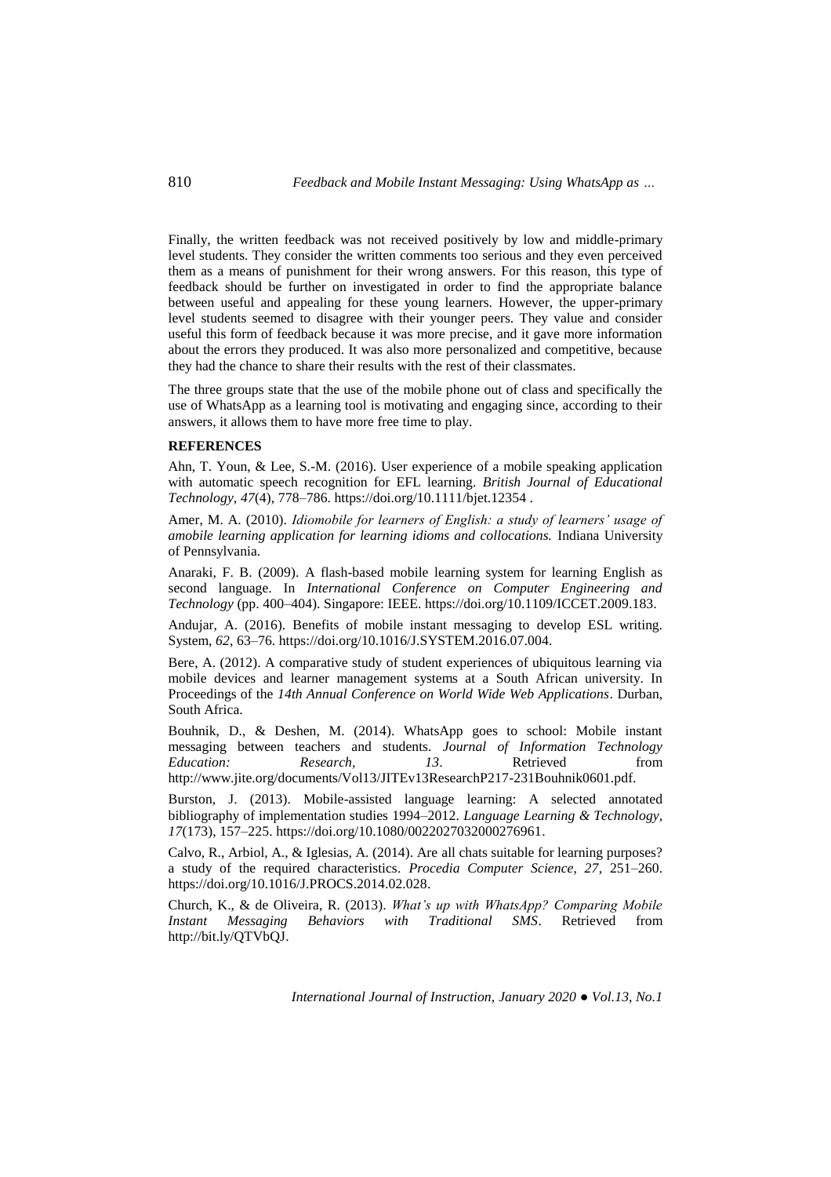Finally, the written feedback was not received positively by low and middle-primary level students. They consider the written comments too serious and they even perceived them as a means of punishment for their wrong answers. For this reason, this type of feedback should be further on investigated in order to find the appropriate balance between useful and appealing for these young learners. However, the upper-primary level students seemed to disagree with their younger peers. They value and consider useful this form of feedback because it was more precise, and it gave more information about the errors they produced. It was also more personalized and competitive, because they had the chance to share their results with the rest of their classmates.

The three groups state that the use of the mobile phone out of class and specifically the use of WhatsApp as a learning tool is motivating and engaging since, according to their answers, it allows them to have more free time to play.

#### **REFERENCES**

Ahn, T. Youn, & Lee, S.-M. (2016). User experience of a mobile speaking application with automatic speech recognition for EFL learning. *British Journal of Educational Technology, 47*(4), 778–786. https://doi.org/10.1111/bjet.12354 .

Amer, M. A. (2010). *Idiomobile for learners of English: a study of learners' usage of amobile learning application for learning idioms and collocations.* Indiana University of Pennsylvania.

Anaraki, F. B. (2009). A flash-based mobile learning system for learning English as second language. In *International Conference on Computer Engineering and Technology* (pp. 400–404). Singapore: IEEE. https://doi.org/10.1109/ICCET.2009.183.

Andujar, A. (2016). Benefits of mobile instant messaging to develop ESL writing. System, *62*, 63–76. https://doi.org/10.1016/J.SYSTEM.2016.07.004.

Bere, A. (2012). A comparative study of student experiences of ubiquitous learning via mobile devices and learner management systems at a South African university. In Proceedings of the *14th Annual Conference on World Wide Web Applications*. Durban, South Africa.

Bouhnik, D., & Deshen, M. (2014). WhatsApp goes to school: Mobile instant messaging between teachers and students. *Journal of Information Technology Education: Research, 13*. Retrieved from http://www.jite.org/documents/Vol13/JITEv13ResearchP217-231Bouhnik0601.pdf.

Burston, J. (2013). Mobile-assisted language learning: A selected annotated bibliography of implementation studies 1994–2012. *Language Learning & Technology, 17*(173), 157–225. https://doi.org/10.1080/0022027032000276961.

Calvo, R., Arbiol, A., & Iglesias, A. (2014). Are all chats suitable for learning purposes? a study of the required characteristics. *Procedia Computer Science, 27*, 251–260. https://doi.org/10.1016/J.PROCS.2014.02.028.

Church, K., & de Oliveira, R. (2013). *What's up with WhatsApp? Comparing Mobile Instant Messaging Behaviors with Traditional SMS*. Retrieved from http://bit.ly/QTVbQJ.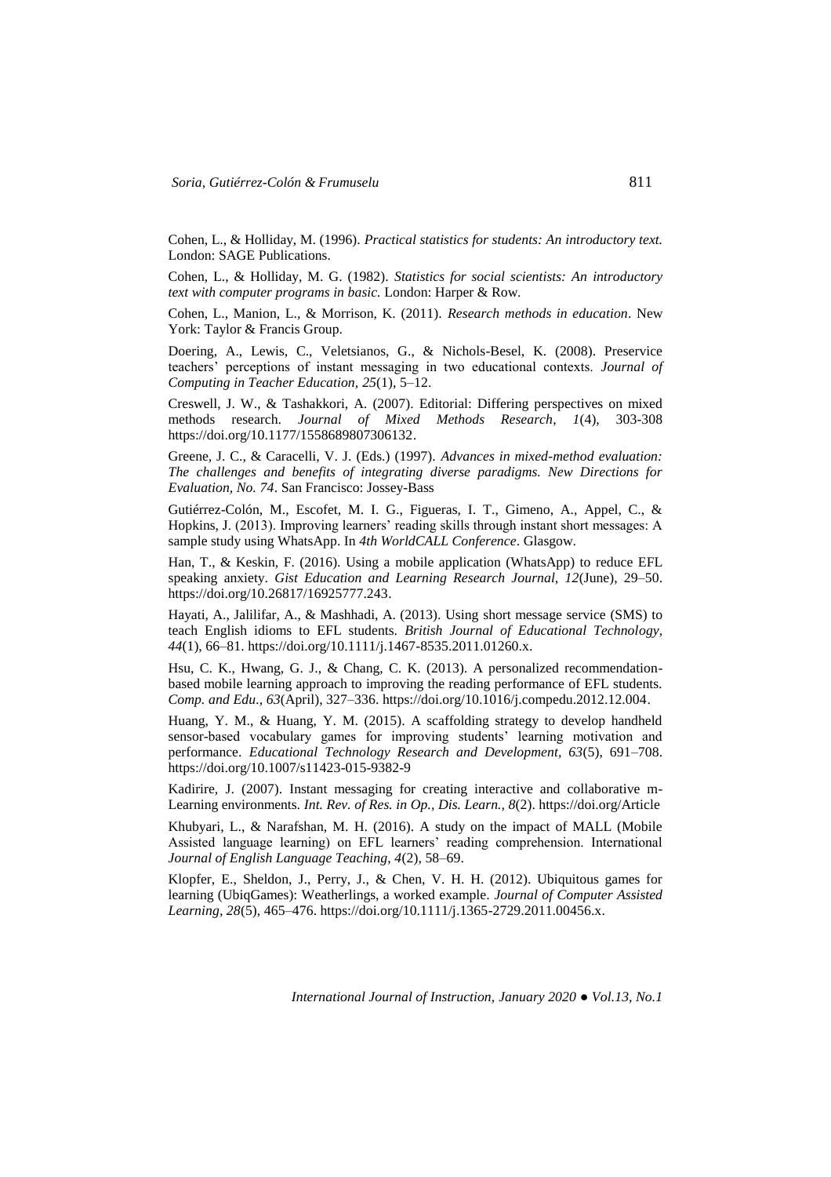Cohen, L., & Holliday, M. (1996). *Practical statistics for students: An introductory text.* London: SAGE Publications.

Cohen, L., & Holliday, M. G. (1982). *Statistics for social scientists: An introductory text with computer programs in basic.* London: Harper & Row.

Cohen, L., Manion, L., & Morrison, K. (2011). *Research methods in education*. New York: Taylor & Francis Group.

Doering, A., Lewis, C., Veletsianos, G., & Nichols-Besel, K. (2008). Preservice teachers' perceptions of instant messaging in two educational contexts. *Journal of Computing in Teacher Education, 25*(1), 5–12.

Creswell, J. W., & Tashakkori, A. (2007). Editorial: Differing perspectives on mixed methods research. *Journal of Mixed Methods Research*, *1*(4), 303-308 https://doi.org/10.1177/1558689807306132.

Greene, J. C., & Caracelli, V. J. (Eds.) (1997). *Advances in mixed-method evaluation: The challenges and benefits of integrating diverse paradigms. New Directions for Evaluation, No. 74*. San Francisco: Jossey-Bass

Gutiérrez-Colón, M., Escofet, M. I. G., Figueras, I. T., Gimeno, A., Appel, C., & Hopkins, J. (2013). Improving learners' reading skills through instant short messages: A sample study using WhatsApp. In *4th WorldCALL Conference*. Glasgow.

Han, T., & Keskin, F. (2016). Using a mobile application (WhatsApp) to reduce EFL speaking anxiety. *Gist Education and Learning Research Journal, 12*(June), 29–50. https://doi.org/10.26817/16925777.243.

Hayati, A., Jalilifar, A., & Mashhadi, A. (2013). Using short message service (SMS) to teach English idioms to EFL students. *British Journal of Educational Technology, 44*(1), 66–81. https://doi.org/10.1111/j.1467-8535.2011.01260.x.

Hsu, C. K., Hwang, G. J., & Chang, C. K. (2013). A personalized recommendationbased mobile learning approach to improving the reading performance of EFL students. *Comp. and Edu., 63*(April), 327–336. https://doi.org/10.1016/j.compedu.2012.12.004.

Huang, Y. M., & Huang, Y. M. (2015). A scaffolding strategy to develop handheld sensor-based vocabulary games for improving students' learning motivation and performance. *Educational Technology Research and Development, 63*(5), 691–708. https://doi.org/10.1007/s11423-015-9382-9

Kadirire, J. (2007). Instant messaging for creating interactive and collaborative m-Learning environments. *Int. Rev. of Res. in Op., Dis. Learn., 8*(2). https://doi.org/Article

Khubyari, L., & Narafshan, M. H. (2016). A study on the impact of MALL (Mobile Assisted language learning) on EFL learners' reading comprehension. International *Journal of English Language Teaching, 4*(2), 58–69.

Klopfer, E., Sheldon, J., Perry, J., & Chen, V. H. H. (2012). Ubiquitous games for learning (UbiqGames): Weatherlings, a worked example. *Journal of Computer Assisted Learning, 28*(5), 465–476. https://doi.org/10.1111/j.1365-2729.2011.00456.x.